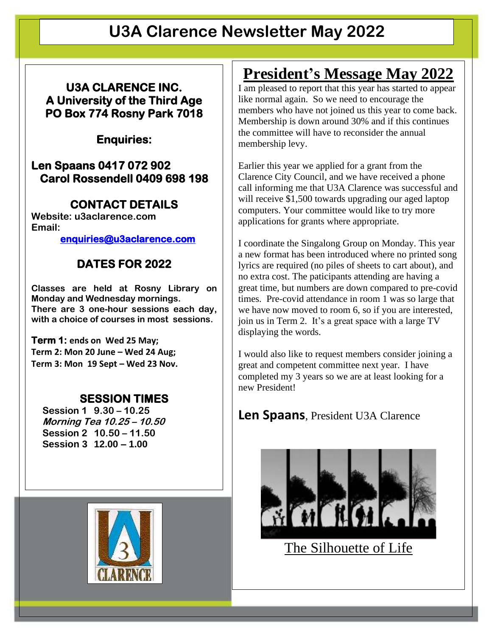# **U3A Clarence Newsletter May 2022**

**U3A CLARENCE INC. A University of the Third Age PO Box 774 Rosny Park 7018** 

**Enquiries:** 

#### **Len Spaans 0417 072 902 Carol Rossendell 0409 698 198**

### **CONTACT DETAILS**

**Website: u3aclarence.com Email:**

**[enquiries@u3aclarence.com](mailto:enquiries@u3aclarence.com)**

### **DATES FOR 2022**

**Classes are held at Rosny Library on Monday and Wednesday mornings. There are 3 one-hour sessions each day, with a choice of courses in most sessions.**

**Term 1: ends on Wed 25 May; Term 2: Mon 20 June – Wed 24 Aug; Term 3: Mon 19 Sept – Wed 23 Nov.**

#### **SESSION TIMES**

 **Session 1 9.30 – 10.25 Morning Tea 10.25 – 10.50 Session 2 10.50 – 11.50 Session 3 12.00 – 1.00**



# **President's Message May 2022**

I am pleased to report that this year has started to appear like normal again. So we need to encourage the members who have not joined us this year to come back. Membership is down around 30% and if this continues the committee will have to reconsider the annual membership levy.

Earlier this year we applied for a grant from the Clarence City Council, and we have received a phone call informing me that U3A Clarence was successful and will receive \$1,500 towards upgrading our aged laptop computers. Your committee would like to try more applications for grants where appropriate.

I coordinate the Singalong Group on Monday. This year a new format has been introduced where no printed song lyrics are required (no piles of sheets to cart about), and no extra cost. The paticipants attending are having a great time, but numbers are down compared to pre-covid times. Pre-covid attendance in room 1 was so large that we have now moved to room 6, so if you are interested, join us in Term 2. It's a great space with a large TV displaying the words.

I would also like to request members consider joining a great and competent committee next year. I have completed my 3 years so we are at least looking for a new President!

#### **Len Spaans**, President U3A Clarence



The Silhouette of Life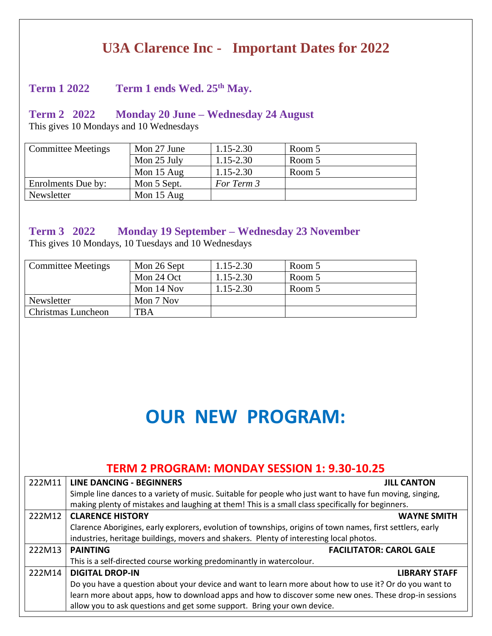### **U3A Clarence Inc - Important Dates for 2022**

#### **Term 1 2022 Term 1 ends Wed. 25th May.**

#### **Term 2 2022 Monday 20 June – Wednesday 24 August**

This gives 10 Mondays and 10 Wednesdays

| <b>Committee Meetings</b> | Mon 27 June  | $1.15 - 2.30$ | Room 5 |
|---------------------------|--------------|---------------|--------|
|                           | Mon 25 July  | $1.15 - 2.30$ | Room 5 |
|                           | Mon $15$ Aug | $1.15 - 2.30$ | Room 5 |
| Enrolments Due by:        | Mon 5 Sept.  | For Term 3    |        |
| Newsletter                | Mon 15 Aug   |               |        |

#### **Term 3 2022 Monday 19 September – Wednesday 23 November**

This gives 10 Mondays, 10 Tuesdays and 10 Wednesdays

| <b>Committee Meetings</b> | Mon 26 Sept | $1.15 - 2.30$ | Room 5 |
|---------------------------|-------------|---------------|--------|
|                           | Mon 24 Oct  | 1.15-2.30     | Room 5 |
|                           | Mon 14 Nov  | 1.15-2.30     | Room 5 |
| Newsletter                | Mon 7 Nov   |               |        |
| <b>Christmas Luncheon</b> | <b>TBA</b>  |               |        |

# **OUR NEW PROGRAM:**

#### **TERM 2 PROGRAM: MONDAY SESSION 1: 9.30-10.25**

| 222M11 | <b>LINE DANCING - BEGINNERS</b>                                                                            | <b>JILL CANTON</b>   |  |
|--------|------------------------------------------------------------------------------------------------------------|----------------------|--|
|        | Simple line dances to a variety of music. Suitable for people who just want to have fun moving, singing,   |                      |  |
|        | making plenty of mistakes and laughing at them! This is a small class specifically for beginners.          |                      |  |
| 222M12 | <b>CLARENCE HISTORY</b>                                                                                    | <b>WAYNE SMITH</b>   |  |
|        | Clarence Aborigines, early explorers, evolution of townships, origins of town names, first settlers, early |                      |  |
|        | industries, heritage buildings, movers and shakers. Plenty of interesting local photos.                    |                      |  |
|        | <b>FACILITATOR: CAROL GALE</b><br><b>PAINTING</b>                                                          |                      |  |
| 222M13 |                                                                                                            |                      |  |
|        | This is a self-directed course working predominantly in watercolour.                                       |                      |  |
| 222M14 | <b>DIGITAL DROP-IN</b>                                                                                     | <b>LIBRARY STAFF</b> |  |
|        | Do you have a question about your device and want to learn more about how to use it? Or do you want to     |                      |  |
|        | learn more about apps, how to download apps and how to discover some new ones. These drop-in sessions      |                      |  |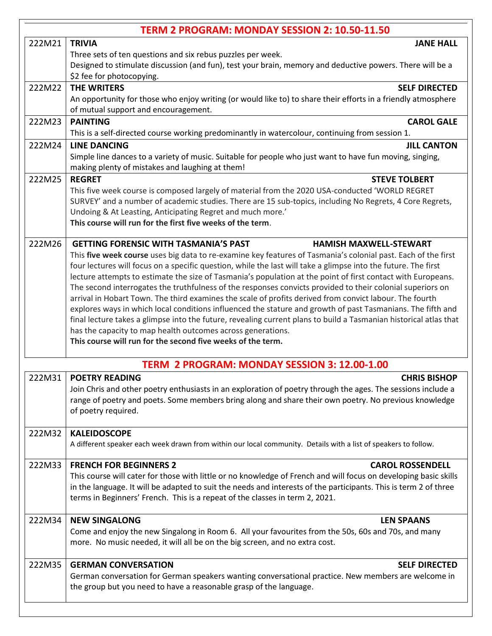| TERM 2 PROGRAM: MONDAY SESSION 2: 10.50-11.50 |                                                                                                                                                                                                                                                                                                                                                                                                                                                                                                                                                                                                                                                                                                                                                                                                                                                                                                                                                                                                                             |  |  |
|-----------------------------------------------|-----------------------------------------------------------------------------------------------------------------------------------------------------------------------------------------------------------------------------------------------------------------------------------------------------------------------------------------------------------------------------------------------------------------------------------------------------------------------------------------------------------------------------------------------------------------------------------------------------------------------------------------------------------------------------------------------------------------------------------------------------------------------------------------------------------------------------------------------------------------------------------------------------------------------------------------------------------------------------------------------------------------------------|--|--|
| 222M21                                        | <b>TRIVIA</b><br><b>JANE HALL</b>                                                                                                                                                                                                                                                                                                                                                                                                                                                                                                                                                                                                                                                                                                                                                                                                                                                                                                                                                                                           |  |  |
|                                               | Three sets of ten questions and six rebus puzzles per week.<br>Designed to stimulate discussion (and fun), test your brain, memory and deductive powers. There will be a<br>\$2 fee for photocopying.                                                                                                                                                                                                                                                                                                                                                                                                                                                                                                                                                                                                                                                                                                                                                                                                                       |  |  |
| 222M22                                        | <b>THE WRITERS</b><br><b>SELF DIRECTED</b><br>An opportunity for those who enjoy writing (or would like to) to share their efforts in a friendly atmosphere<br>of mutual support and encouragement.                                                                                                                                                                                                                                                                                                                                                                                                                                                                                                                                                                                                                                                                                                                                                                                                                         |  |  |
| 222M23                                        | <b>PAINTING</b><br><b>CAROL GALE</b><br>This is a self-directed course working predominantly in watercolour, continuing from session 1.                                                                                                                                                                                                                                                                                                                                                                                                                                                                                                                                                                                                                                                                                                                                                                                                                                                                                     |  |  |
| 222M24                                        | <b>LINE DANCING</b><br><b>JILL CANTON</b><br>Simple line dances to a variety of music. Suitable for people who just want to have fun moving, singing,<br>making plenty of mistakes and laughing at them!                                                                                                                                                                                                                                                                                                                                                                                                                                                                                                                                                                                                                                                                                                                                                                                                                    |  |  |
| 222M25                                        | <b>REGRET</b><br><b>STEVE TOLBERT</b><br>This five week course is composed largely of material from the 2020 USA-conducted 'WORLD REGRET<br>SURVEY' and a number of academic studies. There are 15 sub-topics, including No Regrets, 4 Core Regrets,<br>Undoing & At Leasting, Anticipating Regret and much more.'<br>This course will run for the first five weeks of the term.                                                                                                                                                                                                                                                                                                                                                                                                                                                                                                                                                                                                                                            |  |  |
| 222M26                                        | <b>GETTING FORENSIC WITH TASMANIA'S PAST</b><br><b>HAMISH MAXWELL-STEWART</b><br>This five week course uses big data to re-examine key features of Tasmania's colonial past. Each of the first<br>four lectures will focus on a specific question, while the last will take a glimpse into the future. The first<br>lecture attempts to estimate the size of Tasmania's population at the point of first contact with Europeans.<br>The second interrogates the truthfulness of the responses convicts provided to their colonial superiors on<br>arrival in Hobart Town. The third examines the scale of profits derived from convict labour. The fourth<br>explores ways in which local conditions influenced the stature and growth of past Tasmanians. The fifth and<br>final lecture takes a glimpse into the future, revealing current plans to build a Tasmanian historical atlas that<br>has the capacity to map health outcomes across generations.<br>This course will run for the second five weeks of the term. |  |  |
|                                               | TERM 2 PROGRAM: MONDAY SESSION 3: 12.00-1.00                                                                                                                                                                                                                                                                                                                                                                                                                                                                                                                                                                                                                                                                                                                                                                                                                                                                                                                                                                                |  |  |
| 222M31                                        | <b>POETRY READING</b><br><b>CHRIS BISHOP</b><br>Join Chris and other poetry enthusiasts in an exploration of poetry through the ages. The sessions include a<br>range of poetry and poets. Some members bring along and share their own poetry. No previous knowledge<br>of poetry required.                                                                                                                                                                                                                                                                                                                                                                                                                                                                                                                                                                                                                                                                                                                                |  |  |
| 222M32                                        | <b>KALEIDOSCOPE</b><br>A different speaker each week drawn from within our local community. Details with a list of speakers to follow.                                                                                                                                                                                                                                                                                                                                                                                                                                                                                                                                                                                                                                                                                                                                                                                                                                                                                      |  |  |
| 222M33                                        | <b>FRENCH FOR BEGINNERS 2</b><br><b>CAROL ROSSENDELL</b><br>This course will cater for those with little or no knowledge of French and will focus on developing basic skills<br>in the language. It will be adapted to suit the needs and interests of the participants. This is term 2 of three<br>terms in Beginners' French. This is a repeat of the classes in term 2, 2021.                                                                                                                                                                                                                                                                                                                                                                                                                                                                                                                                                                                                                                            |  |  |
| 222M34                                        | <b>NEW SINGALONG</b><br><b>LEN SPAANS</b><br>Come and enjoy the new Singalong in Room 6. All your favourites from the 50s, 60s and 70s, and many<br>more. No music needed, it will all be on the big screen, and no extra cost.                                                                                                                                                                                                                                                                                                                                                                                                                                                                                                                                                                                                                                                                                                                                                                                             |  |  |
| 222M35                                        | <b>GERMAN CONVERSATION</b><br><b>SELF DIRECTED</b><br>German conversation for German speakers wanting conversational practice. New members are welcome in<br>the group but you need to have a reasonable grasp of the language.                                                                                                                                                                                                                                                                                                                                                                                                                                                                                                                                                                                                                                                                                                                                                                                             |  |  |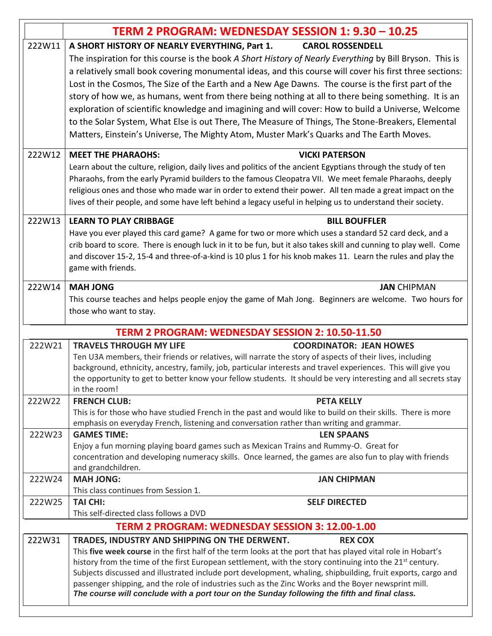|                                                        | TERM 2 PROGRAM: WEDNESDAY SESSION 1: 9.30 - 10.25                                                                                                                                                                                                                                                                                                                                                                                                                                                                                                                                                                                                                                                                                                                                                                   |  |  |
|--------------------------------------------------------|---------------------------------------------------------------------------------------------------------------------------------------------------------------------------------------------------------------------------------------------------------------------------------------------------------------------------------------------------------------------------------------------------------------------------------------------------------------------------------------------------------------------------------------------------------------------------------------------------------------------------------------------------------------------------------------------------------------------------------------------------------------------------------------------------------------------|--|--|
| 222W11                                                 | A SHORT HISTORY OF NEARLY EVERYTHING, Part 1.<br><b>CAROL ROSSENDELL</b><br>The inspiration for this course is the book A Short History of Nearly Everything by Bill Bryson. This is<br>a relatively small book covering monumental ideas, and this course will cover his first three sections:<br>Lost in the Cosmos, The Size of the Earth and a New Age Dawns. The course is the first part of the<br>story of how we, as humans, went from there being nothing at all to there being something. It is an<br>exploration of scientific knowledge and imagining and will cover: How to build a Universe, Welcome<br>to the Solar System, What Else is out There, The Measure of Things, The Stone-Breakers, Elemental<br>Matters, Einstein's Universe, The Mighty Atom, Muster Mark's Quarks and The Earth Moves. |  |  |
| 222W12                                                 | <b>MEET THE PHARAOHS:</b><br><b>VICKI PATERSON</b><br>Learn about the culture, religion, daily lives and politics of the ancient Egyptians through the study of ten<br>Pharaohs, from the early Pyramid builders to the famous Cleopatra VII. We meet female Pharaohs, deeply<br>religious ones and those who made war in order to extend their power. All ten made a great impact on the<br>lives of their people, and some have left behind a legacy useful in helping us to understand their society.                                                                                                                                                                                                                                                                                                            |  |  |
| 222W13                                                 | <b>LEARN TO PLAY CRIBBAGE</b><br><b>BILL BOUFFLER</b><br>Have you ever played this card game? A game for two or more which uses a standard 52 card deck, and a<br>crib board to score. There is enough luck in it to be fun, but it also takes skill and cunning to play well. Come<br>and discover 15-2, 15-4 and three-of-a-kind is 10 plus 1 for his knob makes 11. Learn the rules and play the<br>game with friends.                                                                                                                                                                                                                                                                                                                                                                                           |  |  |
| 222W14                                                 | <b>JAN CHIPMAN</b><br><b>MAH JONG</b><br>This course teaches and helps people enjoy the game of Mah Jong. Beginners are welcome. Two hours for<br>those who want to stay.                                                                                                                                                                                                                                                                                                                                                                                                                                                                                                                                                                                                                                           |  |  |
|                                                        | TERM 2 PROGRAM: WEDNESDAY SESSION 2: 10.50-11.50                                                                                                                                                                                                                                                                                                                                                                                                                                                                                                                                                                                                                                                                                                                                                                    |  |  |
| 222W21                                                 | <b>TRAVELS THROUGH MY LIFE</b><br><b>COORDINATOR: JEAN HOWES</b><br>Ten U3A members, their friends or relatives, will narrate the story of aspects of their lives, including<br>background, ethnicity, ancestry, family, job, particular interests and travel experiences. This will give you<br>the opportunity to get to better know your fellow students. It should be very interesting and all secrets stay<br>in the room!                                                                                                                                                                                                                                                                                                                                                                                     |  |  |
| 222W22                                                 | <b>FRENCH CLUB:</b><br><b>PETA KELLY</b><br>This is for those who have studied French in the past and would like to build on their skills. There is more<br>emphasis on everyday French, listening and conversation rather than writing and grammar.                                                                                                                                                                                                                                                                                                                                                                                                                                                                                                                                                                |  |  |
| 222W23                                                 | <b>GAMES TIME:</b><br><b>LEN SPAANS</b><br>Enjoy a fun morning playing board games such as Mexican Trains and Rummy-O. Great for<br>concentration and developing numeracy skills. Once learned, the games are also fun to play with friends<br>and grandchildren.                                                                                                                                                                                                                                                                                                                                                                                                                                                                                                                                                   |  |  |
| 222W24                                                 | <b>MAH JONG:</b><br><b>JAN CHIPMAN</b><br>This class continues from Session 1.                                                                                                                                                                                                                                                                                                                                                                                                                                                                                                                                                                                                                                                                                                                                      |  |  |
| 222W25                                                 | <b>TAI CHI:</b><br><b>SELF DIRECTED</b><br>This self-directed class follows a DVD                                                                                                                                                                                                                                                                                                                                                                                                                                                                                                                                                                                                                                                                                                                                   |  |  |
| <b>TERM 2 PROGRAM: WEDNESDAY SESSION 3: 12.00-1.00</b> |                                                                                                                                                                                                                                                                                                                                                                                                                                                                                                                                                                                                                                                                                                                                                                                                                     |  |  |
| 222W31                                                 | TRADES, INDUSTRY AND SHIPPING ON THE DERWENT.<br><b>REX COX</b><br>This five week course in the first half of the term looks at the port that has played vital role in Hobart's<br>history from the time of the first European settlement, with the story continuing into the 21 <sup>st</sup> century.<br>Subjects discussed and illustrated include port development, whaling, shipbuilding, fruit exports, cargo and<br>passenger shipping, and the role of industries such as the Zinc Works and the Boyer newsprint mill.<br>The course will conclude with a port tour on the Sunday following the fifth and final class.                                                                                                                                                                                      |  |  |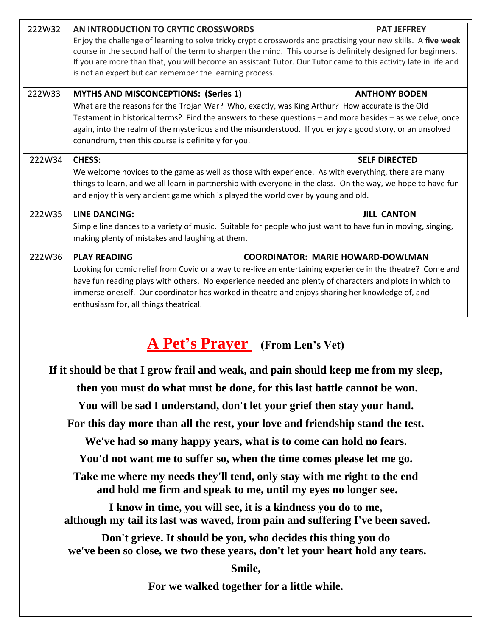| 222W32 | AN INTRODUCTION TO CRYTIC CROSSWORDS                                                                                                                                                                                           | <b>PAT JEFFREY</b>                       |
|--------|--------------------------------------------------------------------------------------------------------------------------------------------------------------------------------------------------------------------------------|------------------------------------------|
|        | Enjoy the challenge of learning to solve tricky cryptic crosswords and practising your new skills. A five week<br>course in the second half of the term to sharpen the mind. This course is definitely designed for beginners. |                                          |
|        | If you are more than that, you will become an assistant Tutor. Our Tutor came to this activity late in life and                                                                                                                |                                          |
|        | is not an expert but can remember the learning process.                                                                                                                                                                        |                                          |
| 222W33 | <b>MYTHS AND MISCONCEPTIONS: (Series 1)</b>                                                                                                                                                                                    | <b>ANTHONY BODEN</b>                     |
|        | What are the reasons for the Trojan War? Who, exactly, was King Arthur? How accurate is the Old                                                                                                                                |                                          |
|        | Testament in historical terms? Find the answers to these questions – and more besides – as we delve, once                                                                                                                      |                                          |
|        | again, into the realm of the mysterious and the misunderstood. If you enjoy a good story, or an unsolved                                                                                                                       |                                          |
|        | conundrum, then this course is definitely for you.                                                                                                                                                                             |                                          |
| 222W34 | <b>CHESS:</b>                                                                                                                                                                                                                  | <b>SELF DIRECTED</b>                     |
|        | We welcome novices to the game as well as those with experience. As with everything, there are many                                                                                                                            |                                          |
|        | things to learn, and we all learn in partnership with everyone in the class. On the way, we hope to have fun                                                                                                                   |                                          |
|        | and enjoy this very ancient game which is played the world over by young and old.                                                                                                                                              |                                          |
| 222W35 | LINE DANCING:                                                                                                                                                                                                                  | <b>JILL CANTON</b>                       |
|        | Simple line dances to a variety of music. Suitable for people who just want to have fun in moving, singing,                                                                                                                    |                                          |
|        | making plenty of mistakes and laughing at them.                                                                                                                                                                                |                                          |
| 222W36 | <b>PLAY READING</b>                                                                                                                                                                                                            | <b>COORDINATOR: MARIE HOWARD-DOWLMAN</b> |
|        | Looking for comic relief from Covid or a way to re-live an entertaining experience in the theatre? Come and                                                                                                                    |                                          |
|        | have fun reading plays with others. No experience needed and plenty of characters and plots in which to                                                                                                                        |                                          |
|        | immerse oneself. Our coordinator has worked in theatre and enjoys sharing her knowledge of, and                                                                                                                                |                                          |
|        | enthusiasm for, all things theatrical.                                                                                                                                                                                         |                                          |

# **A Pet's Prayer – (From Len's Vet)**

**If it should be that I grow frail and weak, and pain should keep me from my sleep, then you must do what must be done, for this last battle cannot be won.**

**You will be sad I understand, don't let your grief then stay your hand.**

**For this day more than all the rest, your love and friendship stand the test.**

**We've had so many happy years, what is to come can hold no fears.** 

**You'd not want me to suffer so, when the time comes please let me go.**

**Take me where my needs they'll tend, only stay with me right to the end and hold me firm and speak to me, until my eyes no longer see.**

**I know in time, you will see, it is a kindness you do to me, although my tail its last was waved, from pain and suffering I've been saved.**

**Don't grieve. It should be you, who decides this thing you do we've been so close, we two these years, don't let your heart hold any tears.**

**Smile,**

**For we walked together for a little while.**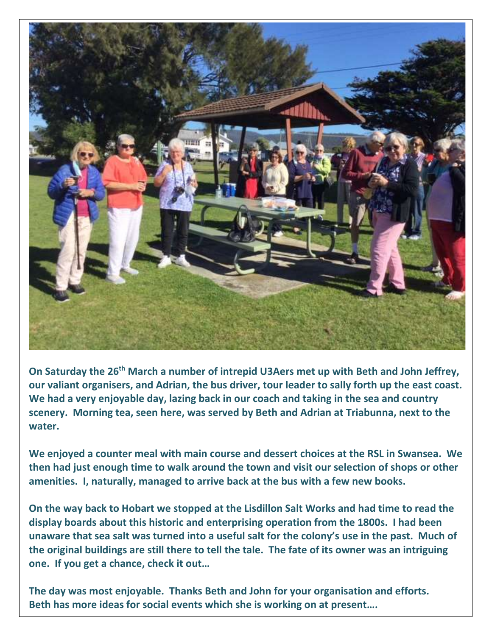

**On Saturday the 26th March a number of intrepid U3Aers met up with Beth and John Jeffrey, our valiant organisers, and Adrian, the bus driver, tour leader to sally forth up the east coast. We had a very enjoyable day, lazing back in our coach and taking in the sea and country scenery. Morning tea, seen here, was served by Beth and Adrian at Triabunna, next to the water.**

**We enjoyed a counter meal with main course and dessert choices at the RSL in Swansea. We then had just enough time to walk around the town and visit our selection of shops or other amenities. I, naturally, managed to arrive back at the bus with a few new books.**

**On the way back to Hobart we stopped at the Lisdillon Salt Works and had time to read the display boards about this historic and enterprising operation from the 1800s. I had been unaware that sea salt was turned into a useful salt for the colony's use in the past. Much of the original buildings are still there to tell the tale. The fate of its owner was an intriguing one. If you get a chance, check it out…**

**The day was most enjoyable. Thanks Beth and John for your organisation and efforts. Beth has more ideas for social events which she is working on at present….**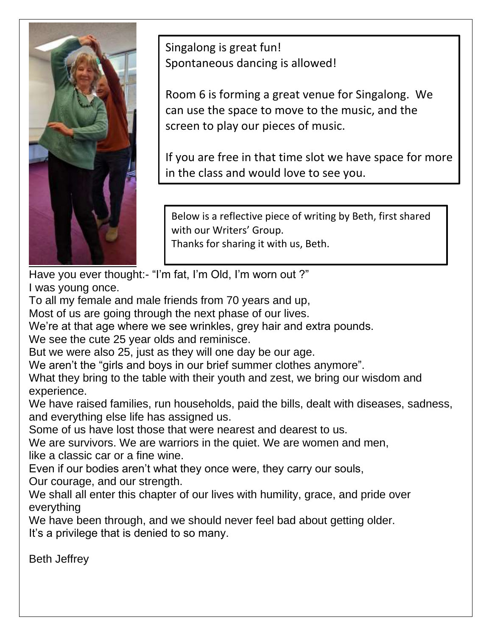

Singalong is great fun! Spontaneous dancing is allowed!

Room 6 is forming a great venue for Singalong. We can use the space to move to the music, and the screen to play our pieces of music.

If you are free in that time slot we have space for more in the class and would love to see you.

Below is a reflective piece of writing by Beth, first shared with our Writers' Group. Thanks for sharing it with us, Beth.

Have you ever thought:- "I'm fat, I'm Old, I'm worn out ?" I was young once.

To all my female and male friends from 70 years and up,

Most of us are going through the next phase of our lives.

We're at that age where we see wrinkles, grey hair and extra pounds.

We see the cute 25 year olds and reminisce.

But we were also 25, just as they will one day be our age.

We aren't the "girls and boys in our brief summer clothes anymore".

What they bring to the table with their youth and zest, we bring our wisdom and experience.

We have raised families, run households, paid the bills, dealt with diseases, sadness, and everything else life has assigned us.

Some of us have lost those that were nearest and dearest to us.

We are survivors. We are warriors in the quiet. We are women and men, like a classic car or a fine wine.

Even if our bodies aren't what they once were, they carry our souls,

Our courage, and our strength.

We shall all enter this chapter of our lives with humility, grace, and pride over everything

We have been through, and we should never feel bad about getting older. It's a privilege that is denied to so many.

Beth Jeffrey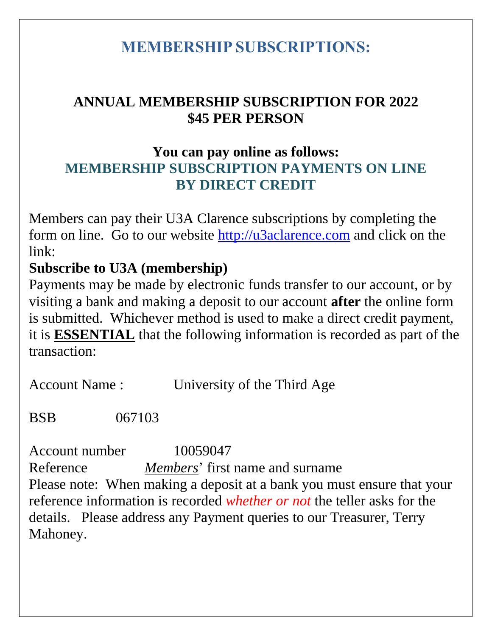## **MEMBERSHIP SUBSCRIPTIONS:**

### **ANNUAL MEMBERSHIP SUBSCRIPTION FOR 2022 \$45 PER PERSON**

### **You can pay online as follows: MEMBERSHIP SUBSCRIPTION PAYMENTS ON LINE BY DIRECT CREDIT**

Members can pay their U3A Clarence subscriptions by completing the form on line. Go to our website [http://u3aclarence.com](http://u3aclarence.com/) and click on the link:

### **Subscribe to U3A (membership)**

Payments may be made by electronic funds transfer to our account, or by visiting a bank and making a deposit to our account **after** the online form is submitted. Whichever method is used to make a direct credit payment, it is **ESSENTIAL** that the following information is recorded as part of the transaction:

| <b>Account Name:</b> | University of the Third Age |
|----------------------|-----------------------------|
|                      |                             |

BSB 067103

Account number 10059047 Reference *Members*' first name and surname Please note: When making a deposit at a bank you must ensure that your reference information is recorded *whether or not* the teller asks for the details. Please address any Payment queries to our Treasurer, Terry Mahoney.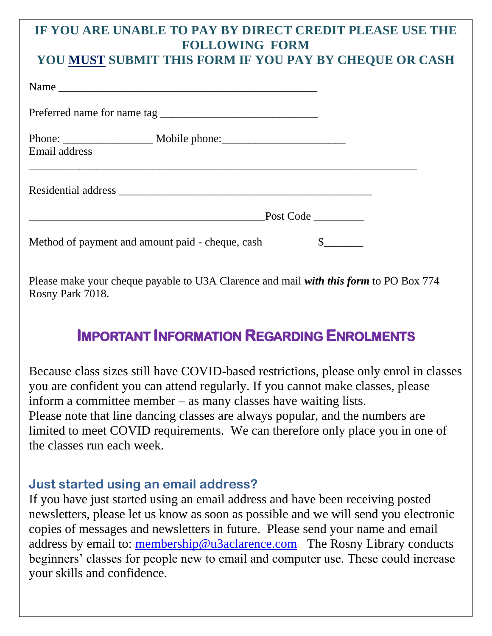### **IF YOU ARE UNABLE TO PAY BY DIRECT CREDIT PLEASE USE THE FOLLOWING FORM**

### **YOU MUST SUBMIT THIS FORM IF YOU PAY BY CHEQUE OR CASH**

|                                                  | Preferred name for name tag |  |
|--------------------------------------------------|-----------------------------|--|
| Email address                                    |                             |  |
|                                                  |                             |  |
|                                                  | Post Code                   |  |
| Method of payment and amount paid - cheque, cash |                             |  |

Please make your cheque payable to U3A Clarence and mail *with this form* to PO Box 774 Rosny Park 7018.

## **IMPORTANT INFORMATION REGARDING ENROLMENTS**

Because class sizes still have COVID-based restrictions, please only enrol in classes you are confident you can attend regularly. If you cannot make classes, please inform a committee member – as many classes have waiting lists. Please note that line dancing classes are always popular, and the numbers are limited to meet COVID requirements. We can therefore only place you in one of the classes run each week.

#### **Just started using an email address?**

If you have just started using an email address and have been receiving posted newsletters, please let us know as soon as possible and we will send you electronic copies of messages and newsletters in future. Please send your name and email address by email to: [membership@u3aclarence.com](mailto:membership@u3aclarence.com) The Rosny Library conducts beginners' classes for people new to email and computer use. These could increase your skills and confidence.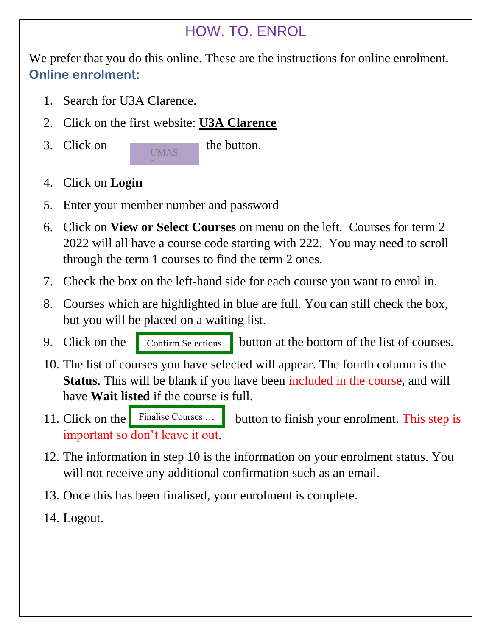### HOW. TO. ENROL

We prefer that you do this online. These are the instructions for online enrolment. **Online enrolment:**

- 1. Search for U3A Clarence.
- 2. Click on the first website: **U3A Clarence**
- 3. Click on the button.

UMAS

- 4. Click on **Login**
- 5. Enter your member number and password

 $\mathcal{S}_{\mathcal{S}}$  system is the system of  $\mathcal{S}_{\mathcal{S}}$ 

- 6. Click on **View or Select Courses** on menu on the left. Courses for term 2 2022 will all have a course code starting with 222. You may need to scroll through the term 1 courses to find the term 2 ones.
- 7. Check the box on the left-hand side for each course you want to enrol in.
- 8. Courses which are highlighted in blue are full. You can still check the box, but you will be placed on a waiting list.
- 

Confirm Selections

9. Click on the confirm Selections button at the bottom of the list of courses.

- 10. The list of courses you have selected will appear. The fourth column is the **Status**. This will be blank if you have been included in the course, and will have **Wait listed** if the course is full.
- button to finish your enrolment. This step is important so don't leave it out. 11. Click on the Finalise Courses ...
- 12. The information in step 10 is the information on your enrolment status. You will not receive any additional confirmation such as an email.
- 13. Once this has been finalised, your enrolment is complete.
- 14. Logout.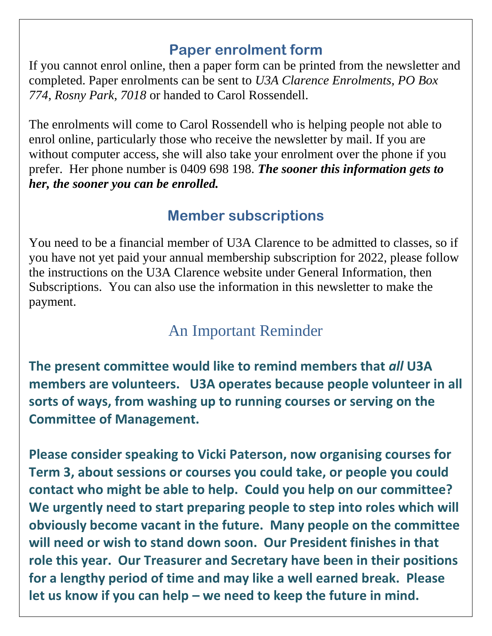### **Paper enrolment form**

If you cannot enrol online, then a paper form can be printed from the newsletter and completed. Paper enrolments can be sent to *U3A Clarence Enrolments, PO Box 774, Rosny Park, 7018* or handed to Carol Rossendell.

The enrolments will come to Carol Rossendell who is helping people not able to enrol online, particularly those who receive the newsletter by mail. If you are without computer access, she will also take your enrolment over the phone if you prefer. Her phone number is 0409 698 198. *The sooner this information gets to her, the sooner you can be enrolled.*

### **Member subscriptions**

You need to be a financial member of U3A Clarence to be admitted to classes, so if you have not yet paid your annual membership subscription for 2022, please follow the instructions on the U3A Clarence website under General Information, then Subscriptions. You can also use the information in this newsletter to make the payment.

# An Important Reminder

**The present committee would like to remind members that** *all* **U3A members are volunteers. U3A operates because people volunteer in all sorts of ways, from washing up to running courses or serving on the Committee of Management.**

**Please consider speaking to Vicki Paterson, now organising courses for Term 3, about sessions or courses you could take, or people you could contact who might be able to help. Could you help on our committee? We urgently need to start preparing people to step into roles which will obviously become vacant in the future. Many people on the committee will need or wish to stand down soon. Our President finishes in that role this year. Our Treasurer and Secretary have been in their positions for a lengthy period of time and may like a well earned break. Please let us know if you can help – we need to keep the future in mind.**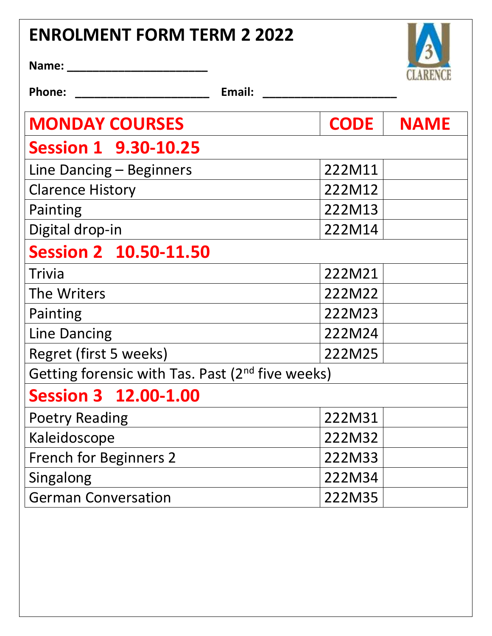# **ENROLMENT FORM TERM 2 2022**



**Name: \_\_\_\_\_\_\_\_\_\_\_\_\_\_\_\_\_\_\_\_\_\_** 

**Phone: \_\_\_\_\_\_\_\_\_\_\_\_\_\_\_\_\_\_\_\_\_ Email: \_\_\_\_\_\_\_\_\_\_\_\_\_\_\_\_\_\_\_\_\_**

| <b>MONDAY COURSES</b>                                        | <b>CODE</b> | <b>NAME</b> |  |  |
|--------------------------------------------------------------|-------------|-------------|--|--|
| <b>Session 1 9.30-10.25</b>                                  |             |             |  |  |
| Line Dancing – Beginners                                     | 222M11      |             |  |  |
| <b>Clarence History</b>                                      | 222M12      |             |  |  |
| Painting                                                     | 222M13      |             |  |  |
| Digital drop-in                                              | 222M14      |             |  |  |
| <b>Session 2 10.50-11.50</b>                                 |             |             |  |  |
| Trivia                                                       | 222M21      |             |  |  |
| The Writers                                                  | 222M22      |             |  |  |
| Painting                                                     | 222M23      |             |  |  |
| <b>Line Dancing</b>                                          | 222M24      |             |  |  |
| Regret (first 5 weeks)                                       | 222M25      |             |  |  |
| Getting forensic with Tas. Past (2 <sup>nd</sup> five weeks) |             |             |  |  |
| <b>Session 3 12.00-1.00</b>                                  |             |             |  |  |
| <b>Poetry Reading</b>                                        | 222M31      |             |  |  |
| Kaleidoscope                                                 | 222M32      |             |  |  |
| <b>French for Beginners 2</b>                                | 222M33      |             |  |  |
| Singalong                                                    | 222M34      |             |  |  |
| <b>German Conversation</b>                                   | 222M35      |             |  |  |